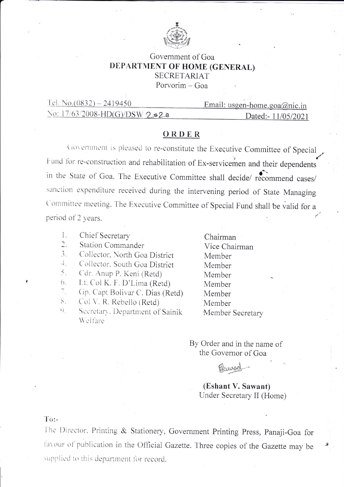

## Government of Goa DEPARTMENT OF HOME (GENERAL) **SECRETARIAT** Porvorim - Goa

| Tel. No.(0832) – 2419450      | Email: usgen-home.goa@nic.in |
|-------------------------------|------------------------------|
| No: 17/63/2008-HD(G)/DSW 2320 | Dated:- 11/05/2021           |

## ORDER

Government is pleased to re-constitute the Executive Committee of Special Fund for re-construction and rehabilitation of Ex-servicemen and their dependents in the State of Goa. The Executive Committee shall decide/ recommend cases/ sanction expenditure received during the intervening period of State Managing Committee meeting. The Executive Committee of Special Fund shall be valid for a period of 2 years.

- 1. Chief Secretary
- $\overline{2}$ . Station Commander
- $\mathfrak{Z}$ . Collector, North Goa District
- $\overline{+}$ . Collector, South Goa District
- 5. Cdr. Anup P. Keni (Retd)
- Lt. Col K. F. D'Lima (Retd) 6.
- $7.$ Gp. Capt Bolivar C. Dias (Retd)
- Col V. R. Rebello (Retd)  $8.$
- Secretary, Department of Sainik  $Q_{1}$ Welfare

Chairman Vice Chairman Member Member Member Member Member Member Member Secretary

By Order and in the name of the Governor of Goa

Plancod

## (Eshant V. Sawant) Under Secretary II (Home)

## $To:$

The Director, Printing & Stationery, Government Printing Press, Panaji-Goa for favour of publication in the Official Gazette. Three copies of the Gazette may be supplied to this department for record.